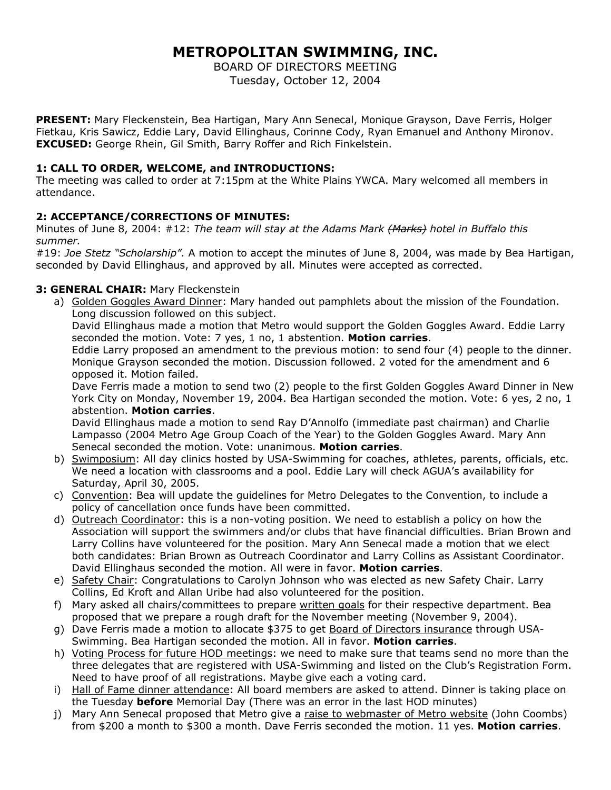# **METROPOLITAN SWIMMING, INC.**

BOARD OF DIRECTORS MEETING Tuesday, October 12, 2004

**PRESENT:** Mary Fleckenstein, Bea Hartigan, Mary Ann Senecal, Monique Grayson, Dave Ferris, Holger Fietkau, Kris Sawicz, Eddie Lary, David Ellinghaus, Corinne Cody, Ryan Emanuel and Anthony Mironov. **EXCUSED:** George Rhein, Gil Smith, Barry Roffer and Rich Finkelstein.

## **1: CALL TO ORDER, WELCOME, and INTRODUCTIONS:**

The meeting was called to order at 7:15pm at the White Plains YWCA. Mary welcomed all members in attendance.

## **2: ACCEPTANCE/CORRECTIONS OF MINUTES:**

Minutes of June 8, 2004: #12: *The team will stay at the Adams Mark (Marks) hotel in Buffalo this summer.* 

#19: *Joe Stetz "Scholarship".* A motion to accept the minutes of June 8, 2004, was made by Bea Hartigan, seconded by David Ellinghaus, and approved by all. Minutes were accepted as corrected.

## **3: GENERAL CHAIR:** Mary Fleckenstein

a) Golden Goggles Award Dinner: Mary handed out pamphlets about the mission of the Foundation. Long discussion followed on this subject.

David Ellinghaus made a motion that Metro would support the Golden Goggles Award. Eddie Larry seconded the motion. Vote: 7 yes, 1 no, 1 abstention. **Motion carries**.

Eddie Larry proposed an amendment to the previous motion: to send four (4) people to the dinner. Monique Grayson seconded the motion. Discussion followed. 2 voted for the amendment and 6 opposed it. Motion failed.

Dave Ferris made a motion to send two (2) people to the first Golden Goggles Award Dinner in New York City on Monday, November 19, 2004. Bea Hartigan seconded the motion. Vote: 6 yes, 2 no, 1 abstention. **Motion carries**.

David Ellinghaus made a motion to send Ray D'Annolfo (immediate past chairman) and Charlie Lampasso (2004 Metro Age Group Coach of the Year) to the Golden Goggles Award. Mary Ann Senecal seconded the motion. Vote: unanimous. **Motion carries**.

- b) Swimposium: All day clinics hosted by USA-Swimming for coaches, athletes, parents, officials, etc. We need a location with classrooms and a pool. Eddie Lary will check AGUA's availability for Saturday, April 30, 2005.
- c) Convention: Bea will update the guidelines for Metro Delegates to the Convention, to include a policy of cancellation once funds have been committed.
- d) Outreach Coordinator: this is a non-voting position. We need to establish a policy on how the Association will support the swimmers and/or clubs that have financial difficulties. Brian Brown and Larry Collins have volunteered for the position. Mary Ann Senecal made a motion that we elect both candidates: Brian Brown as Outreach Coordinator and Larry Collins as Assistant Coordinator. David Ellinghaus seconded the motion. All were in favor. **Motion carries**.
- e) Safety Chair: Congratulations to Carolyn Johnson who was elected as new Safety Chair. Larry Collins, Ed Kroft and Allan Uribe had also volunteered for the position.
- f) Mary asked all chairs/committees to prepare written goals for their respective department. Bea proposed that we prepare a rough draft for the November meeting (November 9, 2004).
- g) Dave Ferris made a motion to allocate \$375 to get Board of Directors insurance through USA-Swimming. Bea Hartigan seconded the motion. All in favor. **Motion carries**.
- h) Voting Process for future HOD meetings: we need to make sure that teams send no more than the three delegates that are registered with USA-Swimming and listed on the Club's Registration Form. Need to have proof of all registrations. Maybe give each a voting card.
- i) Hall of Fame dinner attendance: All board members are asked to attend. Dinner is taking place on the Tuesday **before** Memorial Day (There was an error in the last HOD minutes)
- j) Mary Ann Senecal proposed that Metro give a raise to webmaster of Metro website (John Coombs) from \$200 a month to \$300 a month. Dave Ferris seconded the motion. 11 yes. **Motion carries**.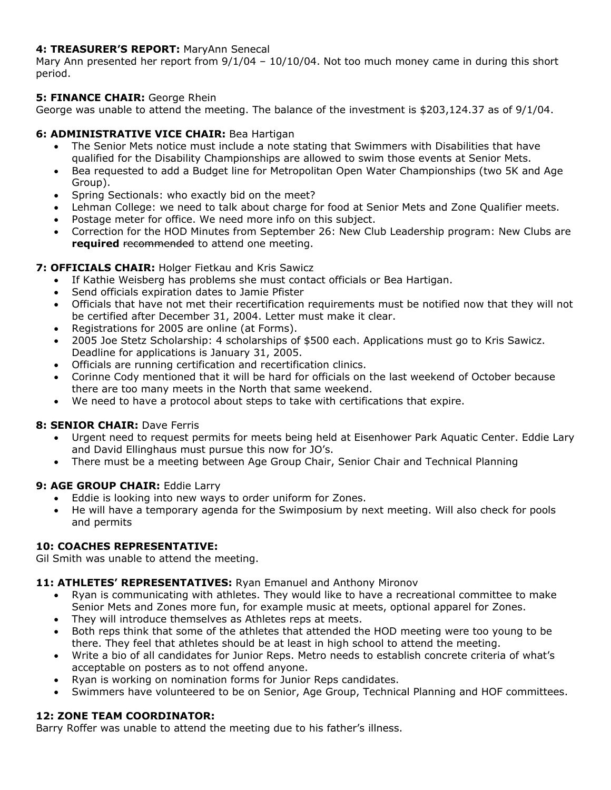# **4: TREASURER'S REPORT:** MaryAnn Senecal

Mary Ann presented her report from  $9/1/04 - 10/10/04$ . Not too much money came in during this short period.

# **5: FINANCE CHAIR:** George Rhein

George was unable to attend the meeting. The balance of the investment is \$203,124.37 as of 9/1/04.

# **6: ADMINISTRATIVE VICE CHAIR:** Bea Hartigan

- The Senior Mets notice must include a note stating that Swimmers with Disabilities that have qualified for the Disability Championships are allowed to swim those events at Senior Mets.
- Bea requested to add a Budget line for Metropolitan Open Water Championships (two 5K and Age Group).
- Spring Sectionals: who exactly bid on the meet?
- Lehman College: we need to talk about charge for food at Senior Mets and Zone Qualifier meets.
- Postage meter for office. We need more info on this subject.
- Correction for the HOD Minutes from September 26: New Club Leadership program: New Clubs are **required** recommended to attend one meeting.

## **7: OFFICIALS CHAIR:** Holger Fietkau and Kris Sawicz

- If Kathie Weisberg has problems she must contact officials or Bea Hartigan.
- Send officials expiration dates to Jamie Pfister
- Officials that have not met their recertification requirements must be notified now that they will not be certified after December 31, 2004. Letter must make it clear.
- Registrations for 2005 are online (at Forms).
- 2005 Joe Stetz Scholarship: 4 scholarships of \$500 each. Applications must go to Kris Sawicz. Deadline for applications is January 31, 2005.
- Officials are running certification and recertification clinics.
- Corinne Cody mentioned that it will be hard for officials on the last weekend of October because there are too many meets in the North that same weekend.
- We need to have a protocol about steps to take with certifications that expire.

#### **8: SENIOR CHAIR:** Dave Ferris

- Urgent need to request permits for meets being held at Eisenhower Park Aquatic Center. Eddie Lary and David Ellinghaus must pursue this now for JO's.
- There must be a meeting between Age Group Chair, Senior Chair and Technical Planning

#### **9: AGE GROUP CHAIR: Eddie Larry**

- Eddie is looking into new ways to order uniform for Zones.
- He will have a temporary agenda for the Swimposium by next meeting. Will also check for pools and permits

## **10: COACHES REPRESENTATIVE:**

Gil Smith was unable to attend the meeting.

#### **11: ATHLETES' REPRESENTATIVES:** Ryan Emanuel and Anthony Mironov

- Ryan is communicating with athletes. They would like to have a recreational committee to make Senior Mets and Zones more fun, for example music at meets, optional apparel for Zones.
- They will introduce themselves as Athletes reps at meets.
- Both reps think that some of the athletes that attended the HOD meeting were too young to be there. They feel that athletes should be at least in high school to attend the meeting.
- Write a bio of all candidates for Junior Reps. Metro needs to establish concrete criteria of what's acceptable on posters as to not offend anyone.
- Ryan is working on nomination forms for Junior Reps candidates.
- Swimmers have volunteered to be on Senior, Age Group, Technical Planning and HOF committees.

# **12: ZONE TEAM COORDINATOR:**

Barry Roffer was unable to attend the meeting due to his father's illness.